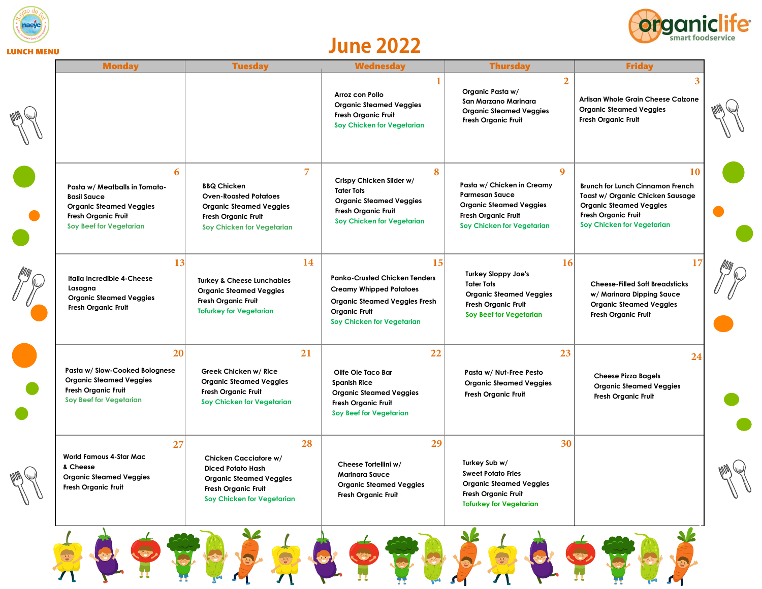



## LUNCH MENU **June 2022**

| <b>Monday</b>                                                                                                                                       | <b>Tuesday</b>                                                                                                                                   | <b>Wednesday</b>                                                                                                                                                           | <b>Thursday</b>                                                                                                                                             | <b>Friday</b>                                                                                                                                                            |
|-----------------------------------------------------------------------------------------------------------------------------------------------------|--------------------------------------------------------------------------------------------------------------------------------------------------|----------------------------------------------------------------------------------------------------------------------------------------------------------------------------|-------------------------------------------------------------------------------------------------------------------------------------------------------------|--------------------------------------------------------------------------------------------------------------------------------------------------------------------------|
|                                                                                                                                                     |                                                                                                                                                  | Arroz con Pollo<br><b>Organic Steamed Veggies</b><br><b>Fresh Organic Fruit</b><br>Soy Chicken for Vegetarian                                                              | $\overline{2}$<br>Organic Pasta w/<br>San Marzano Marinara<br><b>Organic Steamed Veggies</b><br>Fresh Organic Fruit                                         | 3<br>Artisan Whole Grain Cheese Calzone<br><b>Organic Steamed Veggies</b><br>Fresh Organic Fruit                                                                         |
| 6<br>Pasta w/ Meatballs in Tomato-<br><b>Basil Sauce</b><br><b>Organic Steamed Veggies</b><br>Fresh Organic Fruit<br><b>Soy Beef for Vegetarian</b> | <b>BBQ Chicken</b><br><b>Oven-Roasted Potatoes</b><br><b>Organic Steamed Veggies</b><br><b>Fresh Organic Fruit</b><br>Soy Chicken for Vegetarian | $\overline{7}$<br>Crispy Chicken Slider w/<br><b>Tater Tots</b><br><b>Organic Steamed Veggies</b><br>Fresh Organic Fruit<br>Soy Chicken for Vegetarian                     | 8<br>9<br>Pasta w/ Chicken in Creamy<br><b>Parmesan Sauce</b><br><b>Organic Steamed Veggies</b><br><b>Fresh Organic Fruit</b><br>Soy Chicken for Vegetarian | 10<br><b>Brunch for Lunch Cinnamon French</b><br>Toast w/ Organic Chicken Sausage<br><b>Organic Steamed Veggies</b><br>Fresh Organic Fruit<br>Soy Chicken for Vegetarian |
| 13<br>Italia Incredible 4-Cheese<br>Lasagna<br><b>Organic Steamed Veggies</b><br>Fresh Organic Fruit                                                | <b>Turkey &amp; Cheese Lunchables</b><br><b>Organic Steamed Veggies</b><br>Fresh Organic Fruit<br><b>Tofurkey for Vegetarian</b>                 | 14<br><b>Panko-Crusted Chicken Tenders</b><br><b>Creamy Whipped Potatoes</b><br><b>Organic Steamed Veggies Fresh</b><br><b>Organic Fruit</b><br>Soy Chicken for Vegetarian | 16<br>15<br><b>Turkey Sloppy Joe's</b><br><b>Tater Tots</b><br><b>Organic Steamed Veggies</b><br><b>Fresh Organic Fruit</b><br>Soy Beef for Vegetarian      | 17<br><b>Cheese-Filled Soft Breadsticks</b><br>w/ Marinara Dipping Sauce<br><b>Organic Steamed Veggies</b><br>Fresh Organic Fruit                                        |
| 20<br>Pasta w/ Slow-Cooked Bolognese<br><b>Organic Steamed Veggies</b><br><b>Fresh Organic Fruit</b><br><b>Soy Beef for Vegetarian</b>              | Greek Chicken w/ Rice<br><b>Organic Steamed Veggies</b><br>Fresh Organic Fruit<br>Soy Chicken for Vegetarian                                     | 21<br>22<br>Olife Ole Taco Bar<br><b>Spanish Rice</b><br><b>Organic Steamed Veggies</b><br>Fresh Organic Fruit<br>Soy Beef for Vegetarian                                  | 23<br>Pasta w/ Nut-Free Pesto<br><b>Organic Steamed Veggies</b><br><b>Fresh Organic Fruit</b>                                                               | 24<br><b>Cheese Pizza Bagels</b><br><b>Organic Steamed Veggies</b><br>Fresh Organic Fruit                                                                                |
| 27<br><b>World Famous 4-Star Mac</b><br>& Cheese<br><b>Organic Steamed Veggies</b><br>Fresh Organic Fruit                                           | Chicken Cacciatore w/<br><b>Diced Potato Hash</b><br><b>Organic Steamed Veggies</b><br>Fresh Organic Fruit<br>Soy Chicken for Vegetarian         | 28<br>Cheese Tortellini w/<br><b>Marinara Sauce</b><br>Organic Steamed Veggies<br>Fresh Organic Fruit                                                                      | 29<br>30<br>Turkey Sub w/<br><b>Sweet Potato Fries</b><br><b>Organic Steamed Veggies</b><br>Fresh Organic Fruit<br><b>Tofurkey for Vegetarian</b>           |                                                                                                                                                                          |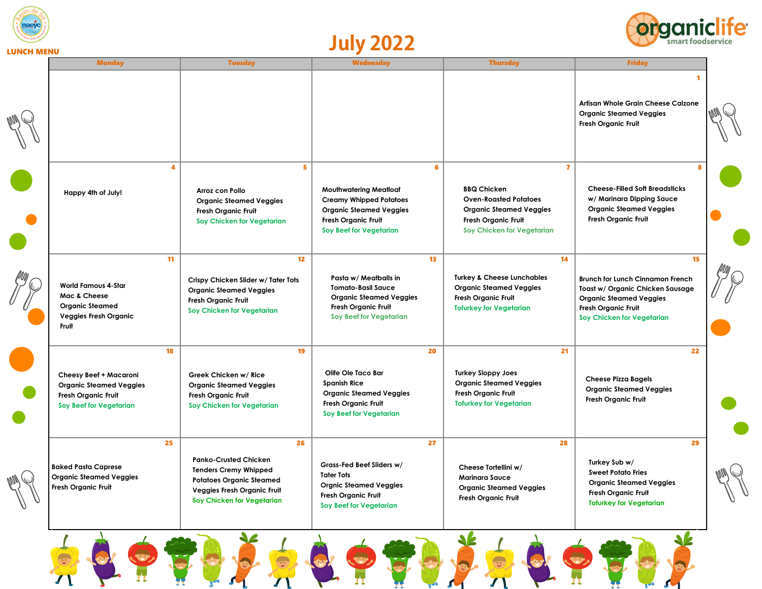





| <b>Monday</b>                                                                                                            | <b>Tuesday</b>                                                                                                                                                            | <b>Wednesday</b>                                                                                                                                                | <b>Thursday</b>                                                                                                                               |                                                                                                                                                    | <b>Friday</b>                                                                     |  |
|--------------------------------------------------------------------------------------------------------------------------|---------------------------------------------------------------------------------------------------------------------------------------------------------------------------|-----------------------------------------------------------------------------------------------------------------------------------------------------------------|-----------------------------------------------------------------------------------------------------------------------------------------------|----------------------------------------------------------------------------------------------------------------------------------------------------|-----------------------------------------------------------------------------------|--|
|                                                                                                                          |                                                                                                                                                                           |                                                                                                                                                                 |                                                                                                                                               | <b>Organic Steamed Veggies</b><br>Fresh Organic Fruit                                                                                              | 1<br>Artisan Whole Grain Cheese Calzone                                           |  |
| Happy 4th of July!                                                                                                       | 4<br>Arroz con Pollo<br><b>Organic Steamed Veggies</b><br><b>Fresh Organic Fruit</b><br>Soy Chicken for Vegetarian                                                        | 5<br><b>Mouthwatering Meatloaf</b><br><b>Creamy Whipped Potatoes</b><br><b>Organic Steamed Veggies</b><br><b>Fresh Organic Fruit</b><br>Soy Beef for Vegetarian | 6<br><b>BBQ Chicken</b><br><b>Oven-Roasted Potatoes</b><br><b>Fresh Organic Fruit</b>                                                         | $\overline{7}$<br><b>Organic Steamed Veggies</b><br><b>Organic Steamed Veggies</b><br><b>Fresh Organic Fruit</b><br>Soy Chicken for Vegetarian     | <b>B</b><br><b>Cheese-Filled Soft Breadsticks</b><br>w/ Marinara Dipping Sauce    |  |
| <b>World Famous 4-Star</b><br>Mac & Cheese<br><b>Organic Steamed</b><br><b>Veggies Fresh Organic</b><br>Fruit            | 11<br>Crispy Chicken Slider w/ Tater Tots<br><b>Organic Steamed Veggies</b><br><b>Fresh Organic Fruit</b><br>Soy Chicken for Vegetarian                                   | 12<br>Pasta w/ Meatballs in<br><b>Tomato-Basil Sauce</b><br><b>Organic Steamed Veggies</b><br><b>Fresh Organic Fruit</b><br>Soy Beef for Vegetarian             | 13<br><b>Turkey &amp; Cheese Lunchables</b><br><b>Organic Steamed Veggies</b><br><b>Fresh Organic Fruit</b><br><b>Tofurkey for Vegetarian</b> | 14<br><b>Organic Steamed Veggies</b><br><b>Fresh Organic Fruit</b><br>Soy Chicken for Vegetarian                                                   | 15<br><b>Brunch for Lunch Cinnamon French</b><br>Toast w/ Organic Chicken Sausage |  |
| <b>Cheesy Beef + Macaroni</b><br><b>Organic Steamed Veggies</b><br><b>Fresh Organic Fruit</b><br>Soy Beef for Vegetarian | 18<br>Greek Chicken w/ Rice<br><b>Organic Steamed Veggies</b><br><b>Fresh Organic Fruit</b><br>Soy Chicken for Vegetarian                                                 | 19<br>Olife Ole Taco Bar<br><b>Spanish Rice</b><br><b>Organic Steamed Veggies</b><br>Fresh Organic Fruit<br>Soy Beef for Vegetarian                             | 20<br><b>Turkey Sloppy Joes</b><br><b>Organic Steamed Veggies</b><br><b>Fresh Organic Fruit</b><br><b>Tofurkey for Vegetarian</b>             | 21<br><b>Cheese Pizza Bagels</b><br><b>Organic Steamed Veggies</b><br><b>Fresh Organic Fruit</b>                                                   | 22                                                                                |  |
| <b>Baked Pasta Caprese</b><br><b>Organic Steamed Veggies</b><br>Fresh Organic Fruit                                      | 25<br><b>Panko-Crusted Chicken</b><br><b>Tenders Cremy Whipped</b><br><b>Potatoes Organic Steamed</b><br><b>Veggies Fresh Organic Fruit</b><br>Soy Chicken for Vegetarian | 26<br>Grass-Fed Beef Sliders w/<br><b>Tater Tots</b><br><b>Orgnic Steamed Veggies</b><br><b>Fresh Organic Fruit</b><br>Soy Beef for Vegetarian                  | 27<br>Cheese Tortellini w/<br><b>Marinara Sauce</b><br><b>Organic Steamed Veggies</b><br><b>Fresh Organic Fruit</b>                           | 28<br>Turkey Sub w/<br><b>Sweet Potato Fries</b><br><b>Organic Steamed Veggies</b><br><b>Fresh Organic Fruit</b><br><b>Tofurkey for Vegetarian</b> | 29                                                                                |  |

 $\bullet$ 

3

 $\mathcal{L}$ 

L